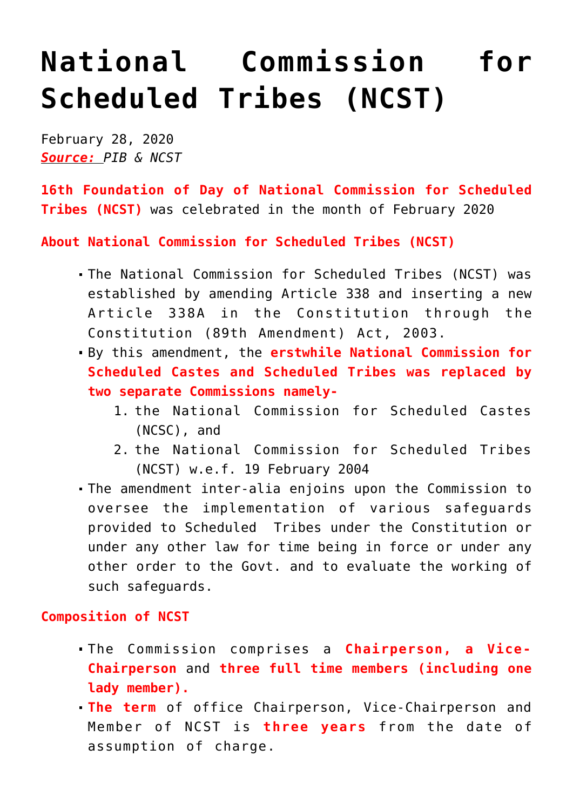## **[National Commission for](https://journalsofindia.com/national-commission-for-scheduled-tribes-ncst/) [Scheduled Tribes \(NCST\)](https://journalsofindia.com/national-commission-for-scheduled-tribes-ncst/)**

February 28, 2020 *Source: PIB & NCST*

**16th Foundation of Day of National Commission for Scheduled Tribes (NCST)** was celebrated in the month of February 2020

**About National Commission for Scheduled Tribes (NCST)**

- The National Commission for Scheduled Tribes (NCST) was established by amending Article 338 and inserting a new Article 338A in the Constitution through the Constitution (89th Amendment) Act, 2003.
- By this amendment, the **erstwhile National Commission for Scheduled Castes and Scheduled Tribes was replaced by two separate Commissions namely-**
	- 1. the National Commission for Scheduled Castes (NCSC), and
	- 2. the National Commission for Scheduled Tribes (NCST) w.e.f. 19 February 2004
- The amendment inter-alia enjoins upon the Commission to oversee the implementation of various safeguards provided to Scheduled Tribes under the Constitution or under any other law for time being in force or under any other order to the Govt. and to evaluate the working of such safeguards.

## **Composition of NCST**

- The Commission comprises a **Chairperson, a Vice-Chairperson** and **three full time members (including one lady member).**
- **The term** of office Chairperson, Vice-Chairperson and Member of NCST is **three years** from the date of assumption of charge.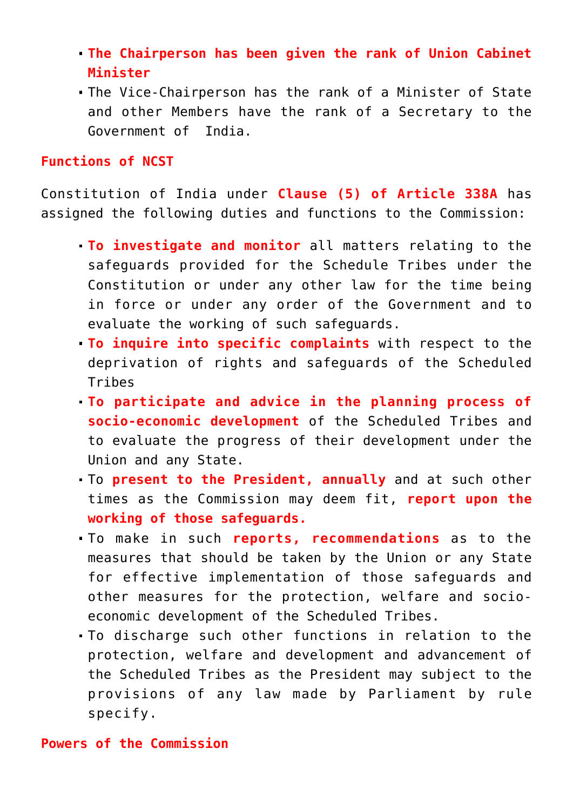- **The Chairperson has been given the rank of Union Cabinet Minister**
- The Vice-Chairperson has the rank of a Minister of State and other Members have the rank of a Secretary to the Government of India.

## **Functions of NCST**

Constitution of India under **Clause (5) of Article 338A** has assigned the following duties and functions to the Commission:

- **To investigate and monitor** all matters relating to the safeguards provided for the Schedule Tribes under the Constitution or under any other law for the time being in force or under any order of the Government and to evaluate the working of such safeguards.
- **To inquire into specific complaints** with respect to the deprivation of rights and safeguards of the Scheduled Tribes
- **To participate and advice in the planning process of socio-economic development** of the Scheduled Tribes and to evaluate the progress of their development under the Union and any State.
- To **present to the President, annually** and at such other times as the Commission may deem fit, **report upon the working of those safeguards.**
- To make in such **reports, recommendations** as to the measures that should be taken by the Union or any State for effective implementation of those safeguards and other measures for the protection, welfare and socioeconomic development of the Scheduled Tribes.
- To discharge such other functions in relation to the protection, welfare and development and advancement of the Scheduled Tribes as the President may subject to the provisions of any law made by Parliament by rule specify.